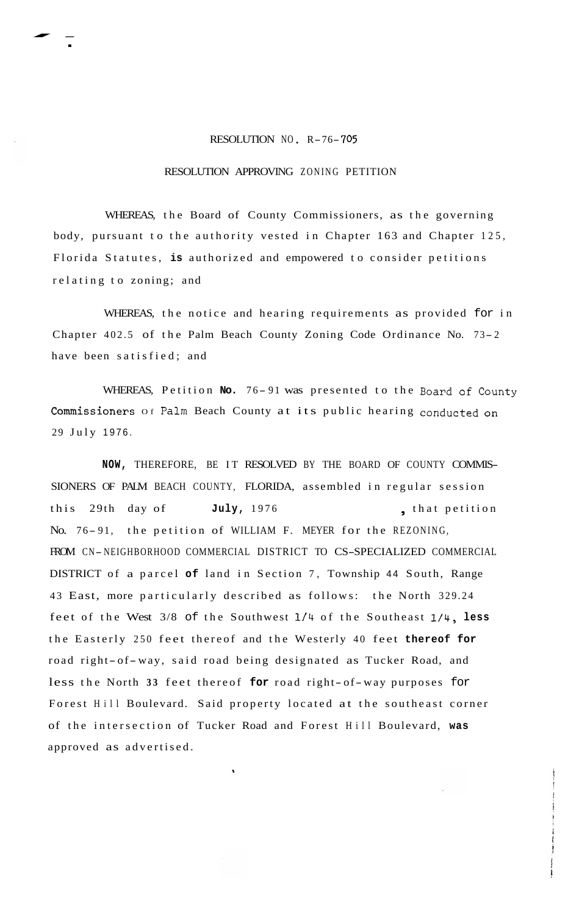## RESOLUTION NO. R-76-705

 $\frac{1}{\sqrt{1-\frac{1}{2}}}$ 

.

## RESOLUTION APPROVING ZONING PETITION

WHEREAS, the Board of County Commissioners, as the governing body, pursuant to the authority vested in Chapter 163 and Chapter 125, Florida Statutes, **is** authorized and empowered to consider petitions relating to zoning; and

WHEREAS, the notice and hearing requirements as provided for in Chapter 402.5 of the Palm Beach County Zoning Code Ordinance No. 73- <sup>2</sup> have been satisfied; and

WHEREAS, Petition No. 76-91 was presented to the Board of County Commissioners of Palm Beach County at its public hearing conducted on 29 July 1976.

**NOW,** THEREFORE, BE IT RESOLVED BY THE BOARD OF COUNTY COMMIS-SIONERS OF PALM BEACH COUNTY, FLORIDA, assembled in regular session this 29th day of **July,** 1976 **example 10 that petition** No. 76-91, the petition of WILLIAM F. MEYER for the REZONING, FROM CN- NEIGHBORHOOD COMMERCIAL DISTRICT TO CS-SPECIALIZED COMMERCIAL DISTRICT of a parcel **of** land in Section 7, Township 44 South, Range 43 East, more particularly described as follows: the North 329.24 feet of the West 3/8 of the Southwest 114 of the Southeast **1/4, less**  the Easterly 250 feet thereof and the Westerly 40 feet **thereof for**  road right- of-way, said road being designated as Tucker Road, and less the North **33** feet thereof **for** road right- of-way purposes for Forest Hill Boulevard. Said property located at the southeast corner of the intersection of Tucker Road and Forest Hill Boulevard, **was**  approved as advertised.